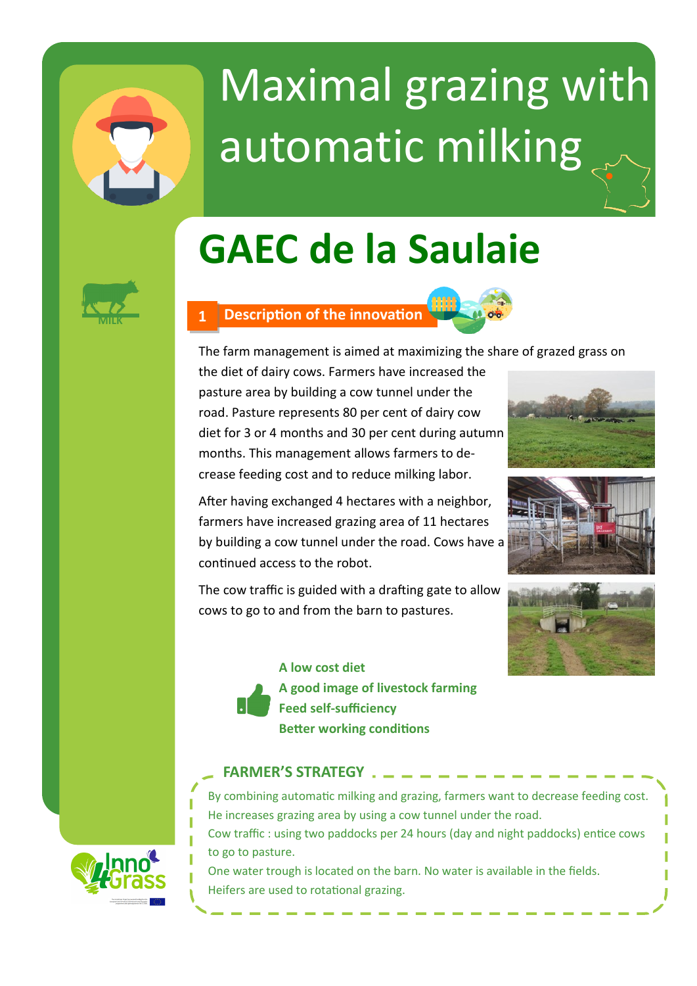

# Maximal grazing with automatic milking

# **GAEC de la Saulaie**



### **MILK 1 Description of the innovation**



The farm management is aimed at maximizing the share of grazed grass on

the diet of dairy cows. Farmers have increased the pasture area by building a cow tunnel under the road. Pasture represents 80 per cent of dairy cow diet for 3 or 4 months and 30 per cent during autumn months. This management allows farmers to decrease feeding cost and to reduce milking labor.



After having exchanged 4 hectares with a neighbor, farmers have increased grazing area of 11 hectares by building a cow tunnel under the road. Cows have a continued access to the robot.

The cow traffic is guided with a drafting gate to allow cows to go to and from the barn to pastures.





# **FARMER'S STRATEGY**

Heifers are used to rotational grazing.

By combining automatic milking and grazing, farmers want to decrease feeding cost. He increases grazing area by using a cow tunnel under the road. Cow traffic : using two paddocks per 24 hours (day and night paddocks) entice cows to go to pasture. One water trough is located on the barn. No water is available in the fields.